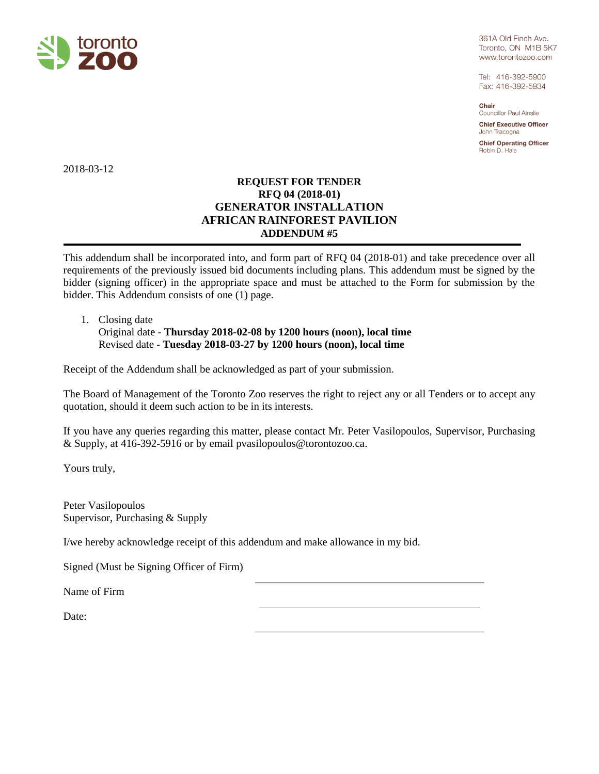

361A Old Finch Ave. Toronto, ON M1B 5K7 www.torontozoo.com

Tel: 416-392-5900 Fax: 416-392-5934

Chair **Councillor Paul Ainslie** 

**Chief Executive Officer** John Tracogna

**Chief Operating Officer** Robin D. Hale

2018-03-12

## **REQUEST FOR TENDER RFQ 04 (2018-01) GENERATOR INSTALLATION AFRICAN RAINFOREST PAVILION ADDENDUM #5**

This addendum shall be incorporated into, and form part of RFQ 04 (2018-01) and take precedence over all requirements of the previously issued bid documents including plans. This addendum must be signed by the bidder (signing officer) in the appropriate space and must be attached to the Form for submission by the bidder. This Addendum consists of one (1) page.

## 1. Closing date

Original date - **Thursday 2018-02-08 by 1200 hours (noon), local time** Revised date - **Tuesday 2018-03-27 by 1200 hours (noon), local time**

Receipt of the Addendum shall be acknowledged as part of your submission.

The Board of Management of the Toronto Zoo reserves the right to reject any or all Tenders or to accept any quotation, should it deem such action to be in its interests.

If you have any queries regarding this matter, please contact Mr. Peter Vasilopoulos, Supervisor, Purchasing & Supply, at 416-392-5916 or by email pvasilopoulos@torontozoo.ca.

Yours truly,

Peter Vasilopoulos Supervisor, Purchasing & Supply

I/we hereby acknowledge receipt of this addendum and make allowance in my bid.

Signed (Must be Signing Officer of Firm)

Name of Firm

Date: